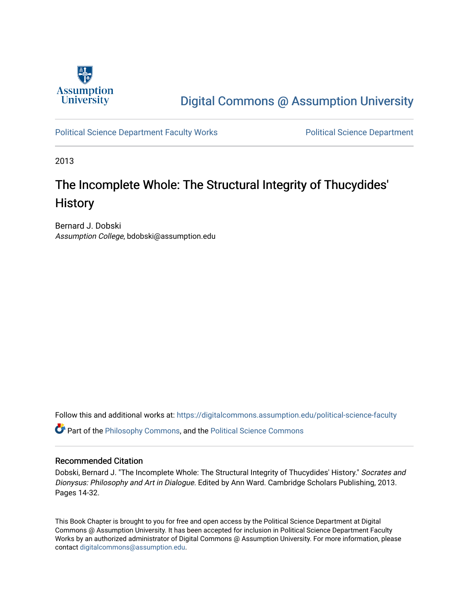

## [Digital Commons @ Assumption University](https://digitalcommons.assumption.edu/)

[Political Science Department Faculty Works](https://digitalcommons.assumption.edu/political-science-faculty) [Political Science Department](https://digitalcommons.assumption.edu/political-science) 

2013

# The Incomplete Whole: The Structural Integrity of Thucydides' **History**

Bernard J. Dobski Assumption College, bdobski@assumption.edu

Follow this and additional works at: [https://digitalcommons.assumption.edu/political-science-faculty](https://digitalcommons.assumption.edu/political-science-faculty?utm_source=digitalcommons.assumption.edu%2Fpolitical-science-faculty%2F64&utm_medium=PDF&utm_campaign=PDFCoverPages)

Part of the [Philosophy Commons,](http://network.bepress.com/hgg/discipline/525?utm_source=digitalcommons.assumption.edu%2Fpolitical-science-faculty%2F64&utm_medium=PDF&utm_campaign=PDFCoverPages) and the [Political Science Commons](http://network.bepress.com/hgg/discipline/386?utm_source=digitalcommons.assumption.edu%2Fpolitical-science-faculty%2F64&utm_medium=PDF&utm_campaign=PDFCoverPages) 

### Recommended Citation

Dobski, Bernard J. "The Incomplete Whole: The Structural Integrity of Thucydides' History." Socrates and Dionysus: Philosophy and Art in Dialogue. Edited by Ann Ward. Cambridge Scholars Publishing, 2013. Pages 14-32.

This Book Chapter is brought to you for free and open access by the Political Science Department at Digital Commons @ Assumption University. It has been accepted for inclusion in Political Science Department Faculty Works by an authorized administrator of Digital Commons @ Assumption University. For more information, please contact [digitalcommons@assumption.edu.](mailto:digitalcommons@assumption.edu)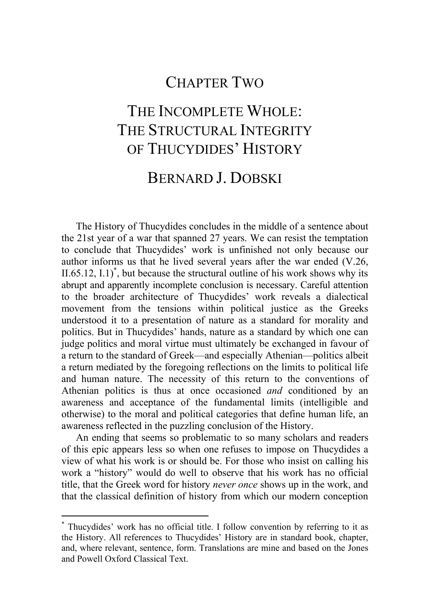### CHAPTER TWO

## THE INCOMPLETE WHOLE: THE STRUCTURAL INTEGRITY OF THUCYDIDES' HISTORY

## BERNARD J. DOBSKI

The History of Thucydides concludes in the middle of a sentence about the 21st year of a war that spanned 27 years. We can resist the temptation to conclude that Thucydides' work is unfinished not only because our author informs us that he lived several years after the war ended (V.26, II.65.12, I.1)<sup>\*</sup>, but because the structural outline of his work shows why its abrupt and apparently incomplete conclusion is necessary. Careful attention to the broader architecture of Thucydides' work reveals a dialectical movement from the tensions within political justice as the Greeks understood it to a presentation of nature as a standard for morality and politics. But in Thucydides' hands, nature as a standard by which one can judge politics and moral virtue must ultimately be exchanged in favour of a return to the standard of Greek—and especially Athenian—politics albeit a return mediated by the foregoing reflections on the limits to political life and human nature. The necessity of this return to the conventions of Athenian politics is thus at once occasioned *and* conditioned by an awareness and acceptance of the fundamental limits (intelligible and otherwise) to the moral and political categories that define human life, an awareness reflected in the puzzling conclusion of the History.

An ending that seems so problematic to so many scholars and readers of this epic appears less so when one refuses to impose on Thucydides a view of what his work is or should be. For those who insist on calling his work a "history" would do well to observe that his work has no official title, that the Greek word for history *never once* shows up in the work, and that the classical definition of history from which our modern conception

<sup>\*</sup> Thucydides' work has no official title. I follow convention by referring to it as the History. All references to Thucydides' History are in standard book, chapter, and, where relevant, sentence, form. Translations are mine and based on the Jones and Powell Oxford Classical Text.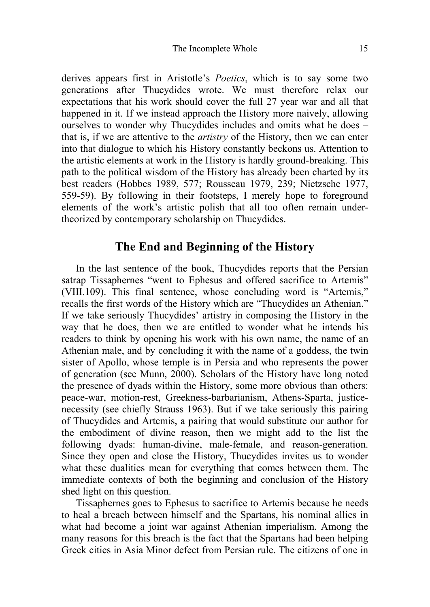derives appears first in Aristotle's *Poetics*, which is to say some two generations after Thucydides wrote. We must therefore relax our expectations that his work should cover the full 27 year war and all that happened in it. If we instead approach the History more naively, allowing ourselves to wonder why Thucydides includes and omits what he does – that is, if we are attentive to the *artistry* of the History, then we can enter into that dialogue to which his History constantly beckons us. Attention to the artistic elements at work in the History is hardly ground-breaking. This path to the political wisdom of the History has already been charted by its best readers (Hobbes 1989, 577; Rousseau 1979, 239; Nietzsche 1977, 559-59). By following in their footsteps, I merely hope to foreground elements of the work's artistic polish that all too often remain undertheorized by contemporary scholarship on Thucydides.

#### **The End and Beginning of the History**

In the last sentence of the book, Thucydides reports that the Persian satrap Tissaphernes "went to Ephesus and offered sacrifice to Artemis" (VIII.109). This final sentence, whose concluding word is "Artemis," recalls the first words of the History which are "Thucydides an Athenian." If we take seriously Thucydides' artistry in composing the History in the way that he does, then we are entitled to wonder what he intends his readers to think by opening his work with his own name, the name of an Athenian male, and by concluding it with the name of a goddess, the twin sister of Apollo, whose temple is in Persia and who represents the power of generation (see Munn, 2000). Scholars of the History have long noted the presence of dyads within the History, some more obvious than others: peace-war, motion-rest, Greekness-barbarianism, Athens-Sparta, justicenecessity (see chiefly Strauss 1963). But if we take seriously this pairing of Thucydides and Artemis, a pairing that would substitute our author for the embodiment of divine reason, then we might add to the list the following dyads: human-divine, male-female, and reason-generation. Since they open and close the History, Thucydides invites us to wonder what these dualities mean for everything that comes between them. The immediate contexts of both the beginning and conclusion of the History shed light on this question.

Tissaphernes goes to Ephesus to sacrifice to Artemis because he needs to heal a breach between himself and the Spartans, his nominal allies in what had become a joint war against Athenian imperialism. Among the many reasons for this breach is the fact that the Spartans had been helping Greek cities in Asia Minor defect from Persian rule. The citizens of one in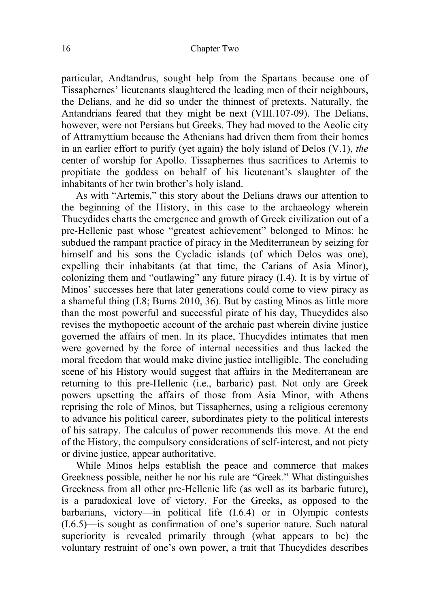particular, Andtandrus, sought help from the Spartans because one of Tissaphernes' lieutenants slaughtered the leading men of their neighbours, the Delians, and he did so under the thinnest of pretexts. Naturally, the Antandrians feared that they might be next (VIII.107-09). The Delians, however, were not Persians but Greeks. They had moved to the Aeolic city of Attramyttium because the Athenians had driven them from their homes in an earlier effort to purify (yet again) the holy island of Delos (V.1), *the* center of worship for Apollo. Tissaphernes thus sacrifices to Artemis to propitiate the goddess on behalf of his lieutenant's slaughter of the inhabitants of her twin brother's holy island.

As with "Artemis," this story about the Delians draws our attention to the beginning of the History, in this case to the archaeology wherein Thucydides charts the emergence and growth of Greek civilization out of a pre-Hellenic past whose "greatest achievement" belonged to Minos: he subdued the rampant practice of piracy in the Mediterranean by seizing for himself and his sons the Cycladic islands (of which Delos was one), expelling their inhabitants (at that time, the Carians of Asia Minor), colonizing them and "outlawing" any future piracy (I.4). It is by virtue of Minos' successes here that later generations could come to view piracy as a shameful thing (I.8; Burns 2010, 36). But by casting Minos as little more than the most powerful and successful pirate of his day, Thucydides also revises the mythopoetic account of the archaic past wherein divine justice governed the affairs of men. In its place, Thucydides intimates that men were governed by the force of internal necessities and thus lacked the moral freedom that would make divine justice intelligible. The concluding scene of his History would suggest that affairs in the Mediterranean are returning to this pre-Hellenic (i.e., barbaric) past. Not only are Greek powers upsetting the affairs of those from Asia Minor, with Athens reprising the role of Minos, but Tissaphernes, using a religious ceremony to advance his political career, subordinates piety to the political interests of his satrapy. The calculus of power recommends this move. At the end of the History, the compulsory considerations of self-interest, and not piety or divine justice, appear authoritative.

While Minos helps establish the peace and commerce that makes Greekness possible, neither he nor his rule are "Greek." What distinguishes Greekness from all other pre-Hellenic life (as well as its barbaric future), is a paradoxical love of victory. For the Greeks, as opposed to the barbarians, victory—in political life (I.6.4) or in Olympic contests (I.6.5)—is sought as confirmation of one's superior nature. Such natural superiority is revealed primarily through (what appears to be) the voluntary restraint of one's own power, a trait that Thucydides describes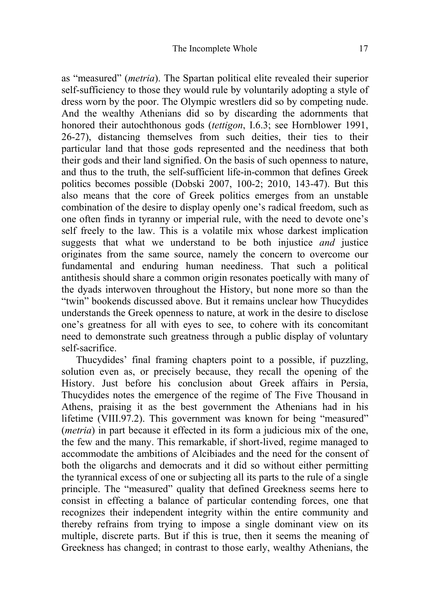as "measured" (*metria*). The Spartan political elite revealed their superior self-sufficiency to those they would rule by voluntarily adopting a style of dress worn by the poor. The Olympic wrestlers did so by competing nude. And the wealthy Athenians did so by discarding the adornments that honored their autochthonous gods (*tettigon*, I.6.3; see Hornblower 1991, 26-27), distancing themselves from such deities, their ties to their particular land that those gods represented and the neediness that both their gods and their land signified. On the basis of such openness to nature, and thus to the truth, the self-sufficient life-in-common that defines Greek politics becomes possible (Dobski 2007, 100-2; 2010, 143-47). But this also means that the core of Greek politics emerges from an unstable combination of the desire to display openly one's radical freedom, such as one often finds in tyranny or imperial rule, with the need to devote one's self freely to the law. This is a volatile mix whose darkest implication suggests that what we understand to be both injustice *and* justice originates from the same source, namely the concern to overcome our fundamental and enduring human neediness. That such a political antithesis should share a common origin resonates poetically with many of the dyads interwoven throughout the History, but none more so than the "twin" bookends discussed above. But it remains unclear how Thucydides understands the Greek openness to nature, at work in the desire to disclose one's greatness for all with eyes to see, to cohere with its concomitant need to demonstrate such greatness through a public display of voluntary self-sacrifice.

Thucydides' final framing chapters point to a possible, if puzzling, solution even as, or precisely because, they recall the opening of the History. Just before his conclusion about Greek affairs in Persia, Thucydides notes the emergence of the regime of The Five Thousand in Athens, praising it as the best government the Athenians had in his lifetime (VIII.97.2). This government was known for being "measured" (*metria*) in part because it effected in its form a judicious mix of the one, the few and the many. This remarkable, if short-lived, regime managed to accommodate the ambitions of Alcibiades and the need for the consent of both the oligarchs and democrats and it did so without either permitting the tyrannical excess of one or subjecting all its parts to the rule of a single principle. The "measured" quality that defined Greekness seems here to consist in effecting a balance of particular contending forces, one that recognizes their independent integrity within the entire community and thereby refrains from trying to impose a single dominant view on its multiple, discrete parts. But if this is true, then it seems the meaning of Greekness has changed; in contrast to those early, wealthy Athenians, the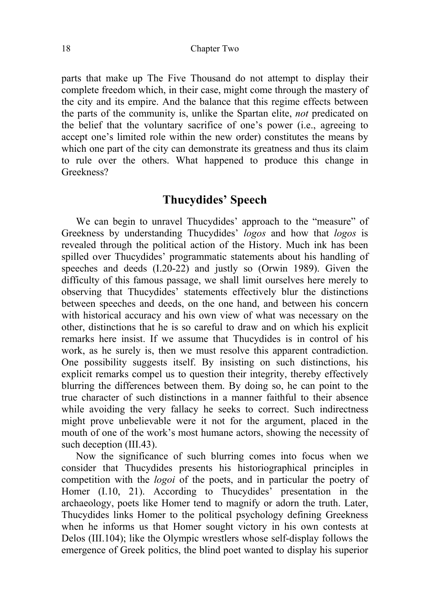parts that make up The Five Thousand do not attempt to display their complete freedom which, in their case, might come through the mastery of the city and its empire. And the balance that this regime effects between the parts of the community is, unlike the Spartan elite, *not* predicated on the belief that the voluntary sacrifice of one's power (i.e., agreeing to accept one's limited role within the new order) constitutes the means by which one part of the city can demonstrate its greatness and thus its claim to rule over the others. What happened to produce this change in Greekness?

#### **Thucydides' Speech**

We can begin to unravel Thucydides' approach to the "measure" of Greekness by understanding Thucydides' *logos* and how that *logos* is revealed through the political action of the History. Much ink has been spilled over Thucydides' programmatic statements about his handling of speeches and deeds (I.20-22) and justly so (Orwin 1989). Given the difficulty of this famous passage, we shall limit ourselves here merely to observing that Thucydides' statements effectively blur the distinctions between speeches and deeds, on the one hand, and between his concern with historical accuracy and his own view of what was necessary on the other, distinctions that he is so careful to draw and on which his explicit remarks here insist. If we assume that Thucydides is in control of his work, as he surely is, then we must resolve this apparent contradiction. One possibility suggests itself. By insisting on such distinctions, his explicit remarks compel us to question their integrity, thereby effectively blurring the differences between them. By doing so, he can point to the true character of such distinctions in a manner faithful to their absence while avoiding the very fallacy he seeks to correct. Such indirectness might prove unbelievable were it not for the argument, placed in the mouth of one of the work's most humane actors, showing the necessity of such deception (III.43).

Now the significance of such blurring comes into focus when we consider that Thucydides presents his historiographical principles in competition with the *logoi* of the poets, and in particular the poetry of Homer (I.10, 21). According to Thucydides' presentation in the archaeology, poets like Homer tend to magnify or adorn the truth. Later, Thucydides links Homer to the political psychology defining Greekness when he informs us that Homer sought victory in his own contests at Delos (III.104); like the Olympic wrestlers whose self-display follows the emergence of Greek politics, the blind poet wanted to display his superior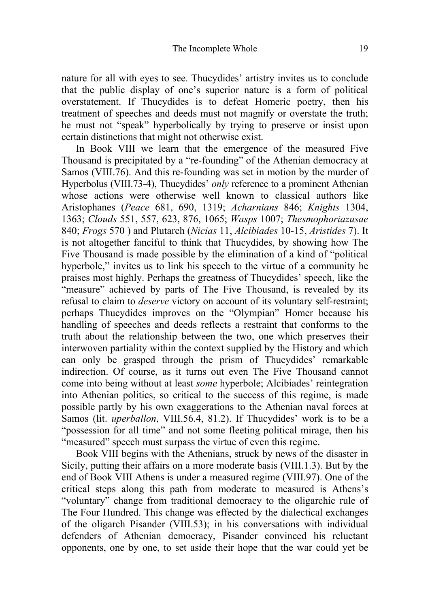nature for all with eyes to see. Thucydides' artistry invites us to conclude that the public display of one's superior nature is a form of political overstatement. If Thucydides is to defeat Homeric poetry, then his treatment of speeches and deeds must not magnify or overstate the truth; he must not "speak" hyperbolically by trying to preserve or insist upon certain distinctions that might not otherwise exist.

In Book VIII we learn that the emergence of the measured Five Thousand is precipitated by a "re-founding" of the Athenian democracy at Samos (VIII.76). And this re-founding was set in motion by the murder of Hyperbolus (VIII.73-4), Thucydides' *only* reference to a prominent Athenian whose actions were otherwise well known to classical authors like Aristophanes (*Peace* 681, 690, 1319; *Acharnians* 846; *Knights* 1304, 1363; *Clouds* 551, 557, 623, 876, 1065; *Wasps* 1007; *Thesmophoriazusae* 840; *Frogs* 570 ) and Plutarch (*Nicias* 11, *Alcibiades* 10-15, *Aristides* 7). It is not altogether fanciful to think that Thucydides, by showing how The Five Thousand is made possible by the elimination of a kind of "political hyperbole," invites us to link his speech to the virtue of a community he praises most highly. Perhaps the greatness of Thucydides' speech, like the "measure" achieved by parts of The Five Thousand, is revealed by its refusal to claim to *deserve* victory on account of its voluntary self-restraint; perhaps Thucydides improves on the "Olympian" Homer because his handling of speeches and deeds reflects a restraint that conforms to the truth about the relationship between the two, one which preserves their interwoven partiality within the context supplied by the History and which can only be grasped through the prism of Thucydides' remarkable indirection. Of course, as it turns out even The Five Thousand cannot come into being without at least *some* hyperbole; Alcibiades' reintegration into Athenian politics, so critical to the success of this regime, is made possible partly by his own exaggerations to the Athenian naval forces at Samos (lit. *uperballon*, VIII.56.4, 81.2). If Thucydides' work is to be a "possession for all time" and not some fleeting political mirage, then his "measured" speech must surpass the virtue of even this regime.

Book VIII begins with the Athenians, struck by news of the disaster in Sicily, putting their affairs on a more moderate basis (VIII.1.3). But by the end of Book VIII Athens is under a measured regime (VIII.97). One of the critical steps along this path from moderate to measured is Athens's "voluntary" change from traditional democracy to the oligarchic rule of The Four Hundred. This change was effected by the dialectical exchanges of the oligarch Pisander (VIII.53); in his conversations with individual defenders of Athenian democracy, Pisander convinced his reluctant opponents, one by one, to set aside their hope that the war could yet be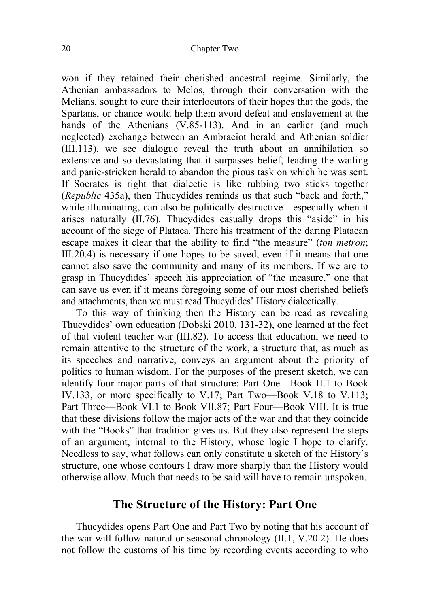won if they retained their cherished ancestral regime. Similarly, the Athenian ambassadors to Melos, through their conversation with the Melians, sought to cure their interlocutors of their hopes that the gods, the Spartans, or chance would help them avoid defeat and enslavement at the hands of the Athenians (V.85-113). And in an earlier (and much neglected) exchange between an Ambraciot herald and Athenian soldier (III.113), we see dialogue reveal the truth about an annihilation so extensive and so devastating that it surpasses belief, leading the wailing and panic-stricken herald to abandon the pious task on which he was sent. If Socrates is right that dialectic is like rubbing two sticks together (*Republic* 435a), then Thucydides reminds us that such "back and forth," while illuminating, can also be politically destructive—especially when it arises naturally (II.76). Thucydides casually drops this "aside" in his account of the siege of Plataea. There his treatment of the daring Plataean escape makes it clear that the ability to find "the measure" (*ton metron*; III.20.4) is necessary if one hopes to be saved, even if it means that one cannot also save the community and many of its members. If we are to grasp in Thucydides' speech his appreciation of "the measure," one that can save us even if it means foregoing some of our most cherished beliefs and attachments, then we must read Thucydides' History dialectically.

To this way of thinking then the History can be read as revealing Thucydides' own education (Dobski 2010, 131-32), one learned at the feet of that violent teacher war (III.82). To access that education, we need to remain attentive to the structure of the work, a structure that, as much as its speeches and narrative, conveys an argument about the priority of politics to human wisdom. For the purposes of the present sketch, we can identify four major parts of that structure: Part One—Book II.1 to Book IV.133, or more specifically to V.17; Part Two—Book V.18 to V.113; Part Three—Book VI.1 to Book VII.87; Part Four—Book VIII. It is true that these divisions follow the major acts of the war and that they coincide with the "Books" that tradition gives us. But they also represent the steps of an argument, internal to the History, whose logic I hope to clarify. Needless to say, what follows can only constitute a sketch of the History's structure, one whose contours I draw more sharply than the History would otherwise allow. Much that needs to be said will have to remain unspoken.

#### **The Structure of the History: Part One**

Thucydides opens Part One and Part Two by noting that his account of the war will follow natural or seasonal chronology (II.1, V.20.2). He does not follow the customs of his time by recording events according to who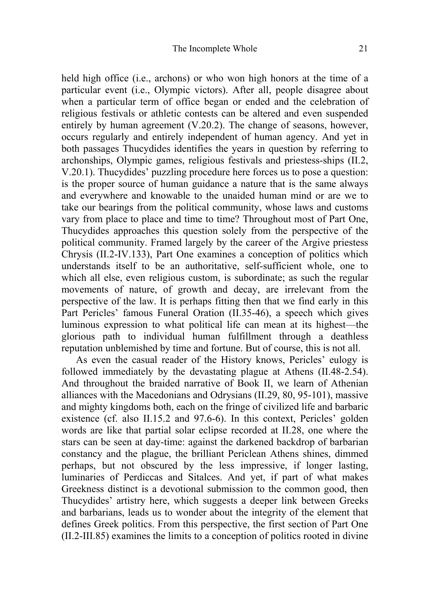held high office (i.e., archons) or who won high honors at the time of a particular event (i.e., Olympic victors). After all, people disagree about when a particular term of office began or ended and the celebration of religious festivals or athletic contests can be altered and even suspended entirely by human agreement (V.20.2). The change of seasons, however, occurs regularly and entirely independent of human agency. And yet in both passages Thucydides identifies the years in question by referring to archonships, Olympic games, religious festivals and priestess-ships (II.2, V.20.1). Thucydides' puzzling procedure here forces us to pose a question: is the proper source of human guidance a nature that is the same always and everywhere and knowable to the unaided human mind or are we to take our bearings from the political community, whose laws and customs vary from place to place and time to time? Throughout most of Part One, Thucydides approaches this question solely from the perspective of the political community. Framed largely by the career of the Argive priestess Chrysis (II.2-IV.133), Part One examines a conception of politics which understands itself to be an authoritative, self-sufficient whole, one to which all else, even religious custom, is subordinate; as such the regular movements of nature, of growth and decay, are irrelevant from the perspective of the law. It is perhaps fitting then that we find early in this Part Pericles' famous Funeral Oration (II.35-46), a speech which gives luminous expression to what political life can mean at its highest—the glorious path to individual human fulfillment through a deathless reputation unblemished by time and fortune. But of course, this is not all.

As even the casual reader of the History knows, Pericles' eulogy is followed immediately by the devastating plague at Athens (II.48-2.54). And throughout the braided narrative of Book II, we learn of Athenian alliances with the Macedonians and Odrysians (II.29, 80, 95-101), massive and mighty kingdoms both, each on the fringe of civilized life and barbaric existence (cf. also II.15.2 and 97.6-6). In this context, Pericles' golden words are like that partial solar eclipse recorded at II.28, one where the stars can be seen at day-time: against the darkened backdrop of barbarian constancy and the plague, the brilliant Periclean Athens shines, dimmed perhaps, but not obscured by the less impressive, if longer lasting, luminaries of Perdiccas and Sitalces. And yet, if part of what makes Greekness distinct is a devotional submission to the common good, then Thucydides' artistry here, which suggests a deeper link between Greeks and barbarians, leads us to wonder about the integrity of the element that defines Greek politics. From this perspective, the first section of Part One (II.2-III.85) examines the limits to a conception of politics rooted in divine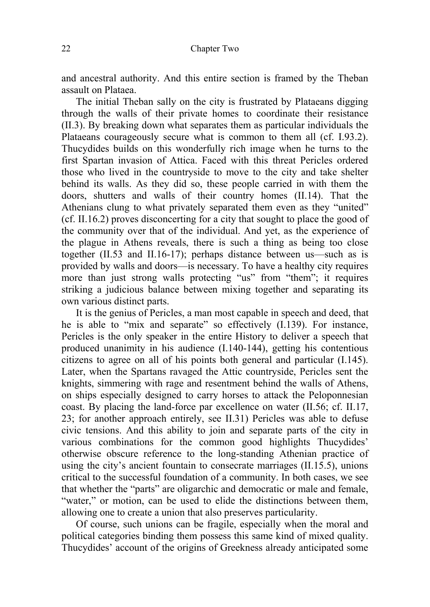and ancestral authority. And this entire section is framed by the Theban assault on Plataea.

The initial Theban sally on the city is frustrated by Plataeans digging through the walls of their private homes to coordinate their resistance (II.3). By breaking down what separates them as particular individuals the Plataeans courageously secure what is common to them all (cf. I.93.2). Thucydides builds on this wonderfully rich image when he turns to the first Spartan invasion of Attica. Faced with this threat Pericles ordered those who lived in the countryside to move to the city and take shelter behind its walls. As they did so, these people carried in with them the doors, shutters and walls of their country homes (II.14). That the Athenians clung to what privately separated them even as they "united" (cf. II.16.2) proves disconcerting for a city that sought to place the good of the community over that of the individual. And yet, as the experience of the plague in Athens reveals, there is such a thing as being too close together (II.53 and II.16-17); perhaps distance between us—such as is provided by walls and doors—is necessary. To have a healthy city requires more than just strong walls protecting "us" from "them"; it requires striking a judicious balance between mixing together and separating its own various distinct parts.

It is the genius of Pericles, a man most capable in speech and deed, that he is able to "mix and separate" so effectively (I.139). For instance, Pericles is the only speaker in the entire History to deliver a speech that produced unanimity in his audience (I.140-144), getting his contentious citizens to agree on all of his points both general and particular (I.145). Later, when the Spartans ravaged the Attic countryside, Pericles sent the knights, simmering with rage and resentment behind the walls of Athens, on ships especially designed to carry horses to attack the Peloponnesian coast. By placing the land-force par excellence on water (II.56; cf. II.17, 23; for another approach entirely, see II.31) Pericles was able to defuse civic tensions. And this ability to join and separate parts of the city in various combinations for the common good highlights Thucydides' otherwise obscure reference to the long-standing Athenian practice of using the city's ancient fountain to consecrate marriages (II.15.5), unions critical to the successful foundation of a community. In both cases, we see that whether the "parts" are oligarchic and democratic or male and female, "water," or motion, can be used to elide the distinctions between them, allowing one to create a union that also preserves particularity.

Of course, such unions can be fragile, especially when the moral and political categories binding them possess this same kind of mixed quality. Thucydides' account of the origins of Greekness already anticipated some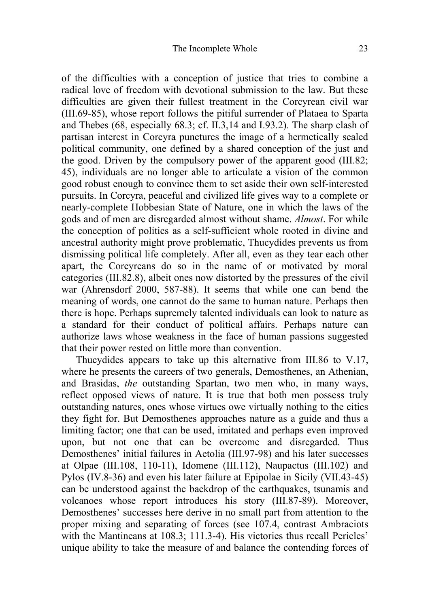of the difficulties with a conception of justice that tries to combine a radical love of freedom with devotional submission to the law. But these difficulties are given their fullest treatment in the Corcyrean civil war (III.69-85), whose report follows the pitiful surrender of Plataea to Sparta and Thebes (68, especially 68.3; cf. II.3,14 and I.93.2). The sharp clash of partisan interest in Corcyra punctures the image of a hermetically sealed political community, one defined by a shared conception of the just and the good. Driven by the compulsory power of the apparent good (III.82; 45), individuals are no longer able to articulate a vision of the common good robust enough to convince them to set aside their own self-interested pursuits. In Corcyra, peaceful and civilized life gives way to a complete or nearly-complete Hobbesian State of Nature, one in which the laws of the gods and of men are disregarded almost without shame. *Almost*. For while the conception of politics as a self-sufficient whole rooted in divine and ancestral authority might prove problematic, Thucydides prevents us from dismissing political life completely. After all, even as they tear each other apart, the Corcyreans do so in the name of or motivated by moral categories (III.82.8), albeit ones now distorted by the pressures of the civil war (Ahrensdorf 2000, 587-88). It seems that while one can bend the meaning of words, one cannot do the same to human nature. Perhaps then there is hope. Perhaps supremely talented individuals can look to nature as a standard for their conduct of political affairs. Perhaps nature can authorize laws whose weakness in the face of human passions suggested that their power rested on little more than convention.

Thucydides appears to take up this alternative from III.86 to V.17, where he presents the careers of two generals, Demosthenes, an Athenian, and Brasidas, *the* outstanding Spartan, two men who, in many ways, reflect opposed views of nature. It is true that both men possess truly outstanding natures, ones whose virtues owe virtually nothing to the cities they fight for. But Demosthenes approaches nature as a guide and thus a limiting factor; one that can be used, imitated and perhaps even improved upon, but not one that can be overcome and disregarded. Thus Demosthenes' initial failures in Aetolia (III.97-98) and his later successes at Olpae (III.108, 110-11), Idomene (III.112), Naupactus (III.102) and Pylos (IV.8-36) and even his later failure at Epipolae in Sicily (VII.43-45) can be understood against the backdrop of the earthquakes, tsunamis and volcanoes whose report introduces his story (III.87-89). Moreover, Demosthenes' successes here derive in no small part from attention to the proper mixing and separating of forces (see 107.4, contrast Ambraciots with the Mantineans at 108.3; 111.3-4). His victories thus recall Pericles' unique ability to take the measure of and balance the contending forces of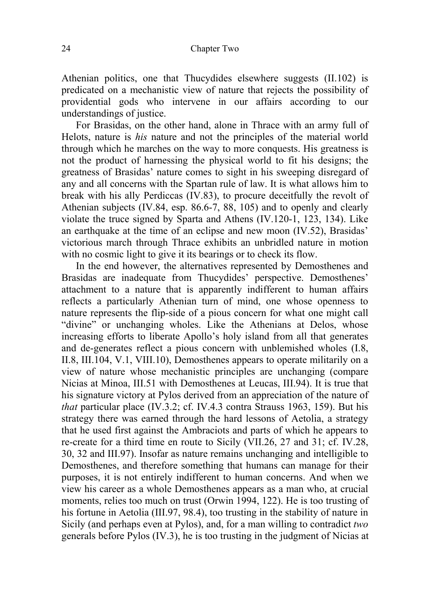Athenian politics, one that Thucydides elsewhere suggests (II.102) is predicated on a mechanistic view of nature that rejects the possibility of providential gods who intervene in our affairs according to our understandings of justice.

For Brasidas, on the other hand, alone in Thrace with an army full of Helots, nature is *his* nature and not the principles of the material world through which he marches on the way to more conquests. His greatness is not the product of harnessing the physical world to fit his designs; the greatness of Brasidas' nature comes to sight in his sweeping disregard of any and all concerns with the Spartan rule of law. It is what allows him to break with his ally Perdiccas (IV.83), to procure deceitfully the revolt of Athenian subjects (IV.84, esp. 86.6-7, 88, 105) and to openly and clearly violate the truce signed by Sparta and Athens (IV.120-1, 123, 134). Like an earthquake at the time of an eclipse and new moon (IV.52), Brasidas' victorious march through Thrace exhibits an unbridled nature in motion with no cosmic light to give it its bearings or to check its flow.

In the end however, the alternatives represented by Demosthenes and Brasidas are inadequate from Thucydides' perspective. Demosthenes' attachment to a nature that is apparently indifferent to human affairs reflects a particularly Athenian turn of mind, one whose openness to nature represents the flip-side of a pious concern for what one might call "divine" or unchanging wholes. Like the Athenians at Delos, whose increasing efforts to liberate Apollo's holy island from all that generates and de-generates reflect a pious concern with unblemished wholes (I.8, II.8, III.104, V.1, VIII.10), Demosthenes appears to operate militarily on a view of nature whose mechanistic principles are unchanging (compare Nicias at Minoa, III.51 with Demosthenes at Leucas, III.94). It is true that his signature victory at Pylos derived from an appreciation of the nature of *that* particular place (IV.3.2; cf. IV.4.3 contra Strauss 1963, 159). But his strategy there was earned through the hard lessons of Aetolia, a strategy that he used first against the Ambraciots and parts of which he appears to re-create for a third time en route to Sicily (VII.26, 27 and 31; cf. IV.28, 30, 32 and III.97). Insofar as nature remains unchanging and intelligible to Demosthenes, and therefore something that humans can manage for their purposes, it is not entirely indifferent to human concerns. And when we view his career as a whole Demosthenes appears as a man who, at crucial moments, relies too much on trust (Orwin 1994, 122). He is too trusting of his fortune in Aetolia (III.97, 98.4), too trusting in the stability of nature in Sicily (and perhaps even at Pylos), and, for a man willing to contradict *two* generals before Pylos (IV.3), he is too trusting in the judgment of Nicias at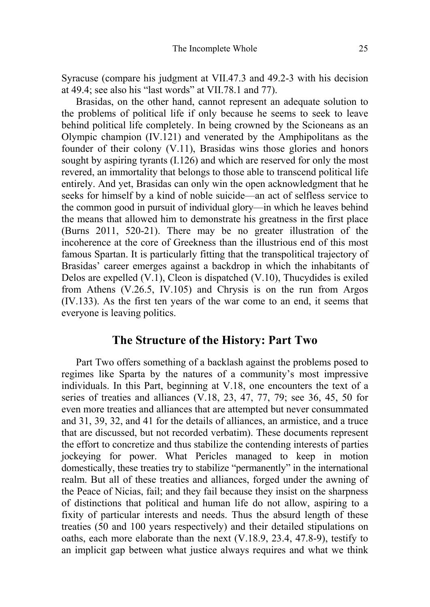Syracuse (compare his judgment at VII.47.3 and 49.2-3 with his decision at 49.4; see also his "last words" at VII.78.1 and 77).

Brasidas, on the other hand, cannot represent an adequate solution to the problems of political life if only because he seems to seek to leave behind political life completely. In being crowned by the Scioneans as an Olympic champion (IV.121) and venerated by the Amphipolitans as the founder of their colony (V.11), Brasidas wins those glories and honors sought by aspiring tyrants (I.126) and which are reserved for only the most revered, an immortality that belongs to those able to transcend political life entirely. And yet, Brasidas can only win the open acknowledgment that he seeks for himself by a kind of noble suicide—an act of selfless service to the common good in pursuit of individual glory—in which he leaves behind the means that allowed him to demonstrate his greatness in the first place (Burns 2011, 520-21). There may be no greater illustration of the incoherence at the core of Greekness than the illustrious end of this most famous Spartan. It is particularly fitting that the transpolitical trajectory of Brasidas' career emerges against a backdrop in which the inhabitants of Delos are expelled (V.1), Cleon is dispatched (V.10), Thucydides is exiled from Athens (V.26.5, IV.105) and Chrysis is on the run from Argos (IV.133). As the first ten years of the war come to an end, it seems that everyone is leaving politics.

#### **The Structure of the History: Part Two**

Part Two offers something of a backlash against the problems posed to regimes like Sparta by the natures of a community's most impressive individuals. In this Part, beginning at V.18, one encounters the text of a series of treaties and alliances (V.18, 23, 47, 77, 79; see 36, 45, 50 for even more treaties and alliances that are attempted but never consummated and 31, 39, 32, and 41 for the details of alliances, an armistice, and a truce that are discussed, but not recorded verbatim). These documents represent the effort to concretize and thus stabilize the contending interests of parties jockeying for power. What Pericles managed to keep in motion domestically, these treaties try to stabilize "permanently" in the international realm. But all of these treaties and alliances, forged under the awning of the Peace of Nicias, fail; and they fail because they insist on the sharpness of distinctions that political and human life do not allow, aspiring to a fixity of particular interests and needs. Thus the absurd length of these treaties (50 and 100 years respectively) and their detailed stipulations on oaths, each more elaborate than the next (V.18.9, 23.4, 47.8-9), testify to an implicit gap between what justice always requires and what we think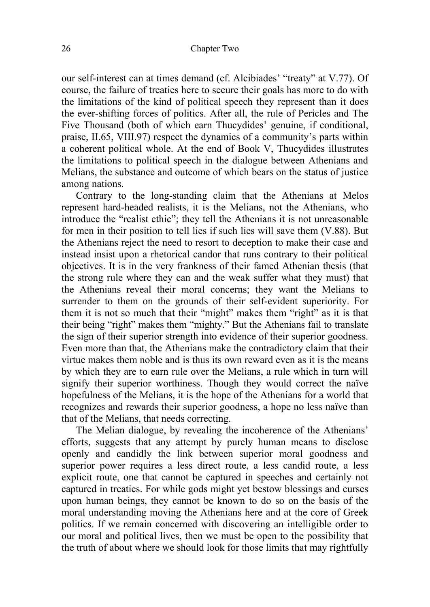#### 26 Chapter Two

our self-interest can at times demand (cf. Alcibiades' "treaty" at V.77). Of course, the failure of treaties here to secure their goals has more to do with the limitations of the kind of political speech they represent than it does the ever-shifting forces of politics. After all, the rule of Pericles and The Five Thousand (both of which earn Thucydides' genuine, if conditional, praise, II.65, VIII.97) respect the dynamics of a community's parts within a coherent political whole. At the end of Book V, Thucydides illustrates the limitations to political speech in the dialogue between Athenians and Melians, the substance and outcome of which bears on the status of justice among nations.

Contrary to the long-standing claim that the Athenians at Melos represent hard-headed realists, it is the Melians, not the Athenians, who introduce the "realist ethic"; they tell the Athenians it is not unreasonable for men in their position to tell lies if such lies will save them (V.88). But the Athenians reject the need to resort to deception to make their case and instead insist upon a rhetorical candor that runs contrary to their political objectives. It is in the very frankness of their famed Athenian thesis (that the strong rule where they can and the weak suffer what they must) that the Athenians reveal their moral concerns; they want the Melians to surrender to them on the grounds of their self-evident superiority. For them it is not so much that their "might" makes them "right" as it is that their being "right" makes them "mighty." But the Athenians fail to translate the sign of their superior strength into evidence of their superior goodness. Even more than that, the Athenians make the contradictory claim that their virtue makes them noble and is thus its own reward even as it is the means by which they are to earn rule over the Melians, a rule which in turn will signify their superior worthiness. Though they would correct the naïve hopefulness of the Melians, it is the hope of the Athenians for a world that recognizes and rewards their superior goodness, a hope no less naïve than that of the Melians, that needs correcting.

The Melian dialogue, by revealing the incoherence of the Athenians' efforts, suggests that any attempt by purely human means to disclose openly and candidly the link between superior moral goodness and superior power requires a less direct route, a less candid route, a less explicit route, one that cannot be captured in speeches and certainly not captured in treaties. For while gods might yet bestow blessings and curses upon human beings, they cannot be known to do so on the basis of the moral understanding moving the Athenians here and at the core of Greek politics. If we remain concerned with discovering an intelligible order to our moral and political lives, then we must be open to the possibility that the truth of about where we should look for those limits that may rightfully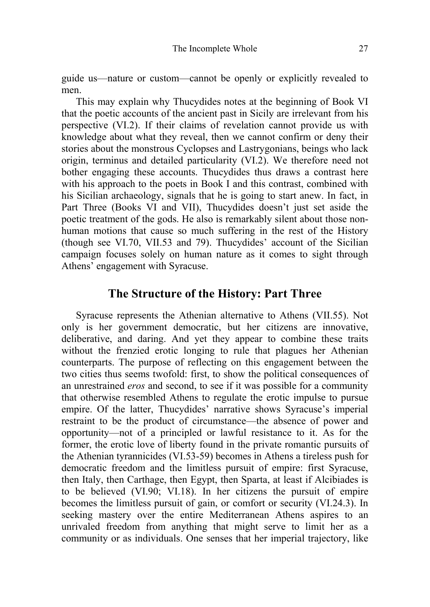guide us—nature or custom—cannot be openly or explicitly revealed to men.

This may explain why Thucydides notes at the beginning of Book VI that the poetic accounts of the ancient past in Sicily are irrelevant from his perspective (VI.2). If their claims of revelation cannot provide us with knowledge about what they reveal, then we cannot confirm or deny their stories about the monstrous Cyclopses and Lastrygonians, beings who lack origin, terminus and detailed particularity (VI.2). We therefore need not bother engaging these accounts. Thucydides thus draws a contrast here with his approach to the poets in Book I and this contrast, combined with his Sicilian archaeology, signals that he is going to start anew. In fact, in Part Three (Books VI and VII), Thucydides doesn't just set aside the poetic treatment of the gods. He also is remarkably silent about those nonhuman motions that cause so much suffering in the rest of the History (though see VI.70, VII.53 and 79). Thucydides' account of the Sicilian campaign focuses solely on human nature as it comes to sight through Athens' engagement with Syracuse.

#### **The Structure of the History: Part Three**

Syracuse represents the Athenian alternative to Athens (VII.55). Not only is her government democratic, but her citizens are innovative, deliberative, and daring. And yet they appear to combine these traits without the frenzied erotic longing to rule that plagues her Athenian counterparts. The purpose of reflecting on this engagement between the two cities thus seems twofold: first, to show the political consequences of an unrestrained *eros* and second, to see if it was possible for a community that otherwise resembled Athens to regulate the erotic impulse to pursue empire. Of the latter, Thucydides' narrative shows Syracuse's imperial restraint to be the product of circumstance—the absence of power and opportunity—not of a principled or lawful resistance to it. As for the former, the erotic love of liberty found in the private romantic pursuits of the Athenian tyrannicides (VI.53-59) becomes in Athens a tireless push for democratic freedom and the limitless pursuit of empire: first Syracuse, then Italy, then Carthage, then Egypt, then Sparta, at least if Alcibiades is to be believed (VI.90; VI.18). In her citizens the pursuit of empire becomes the limitless pursuit of gain, or comfort or security (VI.24.3). In seeking mastery over the entire Mediterranean Athens aspires to an unrivaled freedom from anything that might serve to limit her as a community or as individuals. One senses that her imperial trajectory, like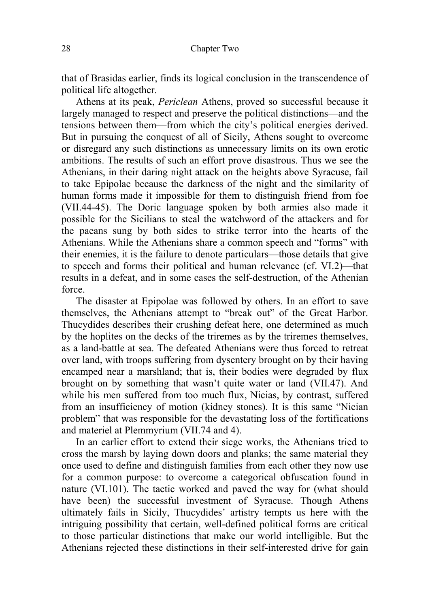that of Brasidas earlier, finds its logical conclusion in the transcendence of political life altogether.

Athens at its peak, *Periclean* Athens, proved so successful because it largely managed to respect and preserve the political distinctions—and the tensions between them—from which the city's political energies derived. But in pursuing the conquest of all of Sicily, Athens sought to overcome or disregard any such distinctions as unnecessary limits on its own erotic ambitions. The results of such an effort prove disastrous. Thus we see the Athenians, in their daring night attack on the heights above Syracuse, fail to take Epipolae because the darkness of the night and the similarity of human forms made it impossible for them to distinguish friend from foe (VII.44-45). The Doric language spoken by both armies also made it possible for the Sicilians to steal the watchword of the attackers and for the paeans sung by both sides to strike terror into the hearts of the Athenians. While the Athenians share a common speech and "forms" with their enemies, it is the failure to denote particulars—those details that give to speech and forms their political and human relevance (cf. VI.2)—that results in a defeat, and in some cases the self-destruction, of the Athenian force.

The disaster at Epipolae was followed by others. In an effort to save themselves, the Athenians attempt to "break out" of the Great Harbor. Thucydides describes their crushing defeat here, one determined as much by the hoplites on the decks of the triremes as by the triremes themselves, as a land-battle at sea. The defeated Athenians were thus forced to retreat over land, with troops suffering from dysentery brought on by their having encamped near a marshland; that is, their bodies were degraded by flux brought on by something that wasn't quite water or land (VII.47). And while his men suffered from too much flux, Nicias, by contrast, suffered from an insufficiency of motion (kidney stones). It is this same "Nician problem" that was responsible for the devastating loss of the fortifications and materiel at Plemmyrium (VII.74 and 4).

In an earlier effort to extend their siege works, the Athenians tried to cross the marsh by laying down doors and planks; the same material they once used to define and distinguish families from each other they now use for a common purpose: to overcome a categorical obfuscation found in nature (VI.101). The tactic worked and paved the way for (what should have been) the successful investment of Syracuse. Though Athens ultimately fails in Sicily, Thucydides' artistry tempts us here with the intriguing possibility that certain, well-defined political forms are critical to those particular distinctions that make our world intelligible. But the Athenians rejected these distinctions in their self-interested drive for gain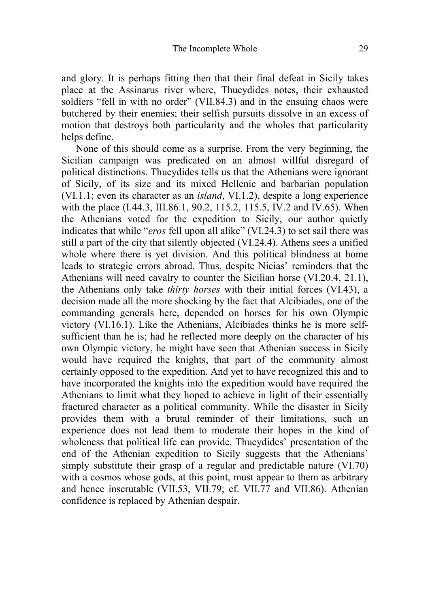and glory. It is perhaps fitting then that their final defeat in Sicily takes place at the Assinarus river where, Thucydides notes, their exhausted soldiers "fell in with no order" (VII.84.3) and in the ensuing chaos were butchered by their enemies; their selfish pursuits dissolve in an excess of motion that destroys both particularity and the wholes that particularity helps define.

None of this should come as a surprise. From the very beginning, the Sicilian campaign was predicated on an almost willful disregard of political distinctions. Thucydides tells us that the Athenians were ignorant of Sicily, of its size and its mixed Hellenic and barbarian population (VI.1.1; even its character as an *island*, VI.1.2), despite a long experience with the place (I.44.3, III.86.1, 90.2, 115.2, 115.5, IV.2 and IV.65). When the Athenians voted for the expedition to Sicily, our author quietly indicates that while "*eros* fell upon all alike" (VI.24.3) to set sail there was still a part of the city that silently objected (VI.24.4). Athens sees a unified whole where there is yet division. And this political blindness at home leads to strategic errors abroad. Thus, despite Nicias' reminders that the Athenians will need cavalry to counter the Sicilian horse (VI.20.4, 21.1), the Athenians only take *thirty horses* with their initial forces (VI.43), a decision made all the more shocking by the fact that Alcibiades, one of the commanding generals here, depended on horses for his own Olympic victory (VI.16.1). Like the Athenians, Alcibiades thinks he is more selfsufficient than he is; had he reflected more deeply on the character of his own Olympic victory, he might have seen that Athenian success in Sicily would have required the knights, that part of the community almost certainly opposed to the expedition. And yet to have recognized this and to have incorporated the knights into the expedition would have required the Athenians to limit what they hoped to achieve in light of their essentially fractured character as a political community. While the disaster in Sicily provides them with a brutal reminder of their limitations, such an experience does not lead them to moderate their hopes in the kind of wholeness that political life can provide. Thucydides' presentation of the end of the Athenian expedition to Sicily suggests that the Athenians' simply substitute their grasp of a regular and predictable nature (VI.70) with a cosmos whose gods, at this point, must appear to them as arbitrary and hence inscrutable (VII.53, VII.79; cf. VII.77 and VII.86). Athenian confidence is replaced by Athenian despair.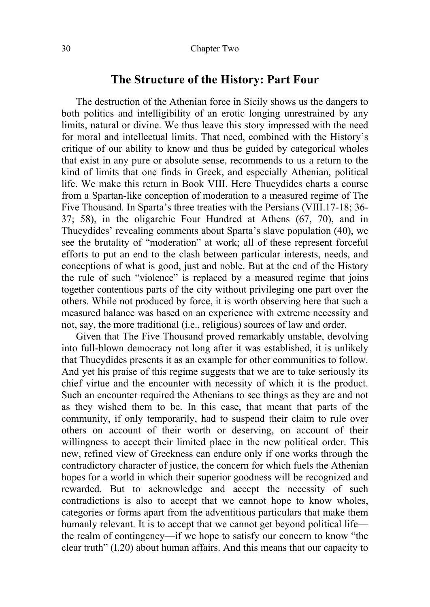#### **The Structure of the History: Part Four**

The destruction of the Athenian force in Sicily shows us the dangers to both politics and intelligibility of an erotic longing unrestrained by any limits, natural or divine. We thus leave this story impressed with the need for moral and intellectual limits. That need, combined with the History's critique of our ability to know and thus be guided by categorical wholes that exist in any pure or absolute sense, recommends to us a return to the kind of limits that one finds in Greek, and especially Athenian, political life. We make this return in Book VIII. Here Thucydides charts a course from a Spartan-like conception of moderation to a measured regime of The Five Thousand. In Sparta's three treaties with the Persians (VIII.17-18; 36- 37; 58), in the oligarchic Four Hundred at Athens (67, 70), and in Thucydides' revealing comments about Sparta's slave population (40), we see the brutality of "moderation" at work; all of these represent forceful efforts to put an end to the clash between particular interests, needs, and conceptions of what is good, just and noble. But at the end of the History the rule of such "violence" is replaced by a measured regime that joins together contentious parts of the city without privileging one part over the others. While not produced by force, it is worth observing here that such a measured balance was based on an experience with extreme necessity and not, say, the more traditional (i.e., religious) sources of law and order.

Given that The Five Thousand proved remarkably unstable, devolving into full-blown democracy not long after it was established, it is unlikely that Thucydides presents it as an example for other communities to follow. And yet his praise of this regime suggests that we are to take seriously its chief virtue and the encounter with necessity of which it is the product. Such an encounter required the Athenians to see things as they are and not as they wished them to be. In this case, that meant that parts of the community, if only temporarily, had to suspend their claim to rule over others on account of their worth or deserving, on account of their willingness to accept their limited place in the new political order. This new, refined view of Greekness can endure only if one works through the contradictory character of justice, the concern for which fuels the Athenian hopes for a world in which their superior goodness will be recognized and rewarded. But to acknowledge and accept the necessity of such contradictions is also to accept that we cannot hope to know wholes, categories or forms apart from the adventitious particulars that make them humanly relevant. It is to accept that we cannot get beyond political life the realm of contingency—if we hope to satisfy our concern to know "the clear truth" (I.20) about human affairs. And this means that our capacity to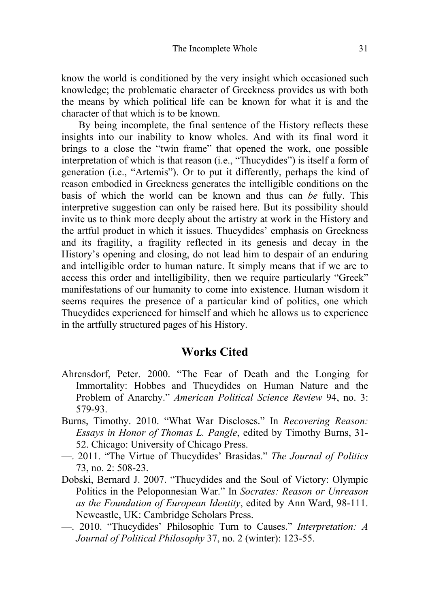know the world is conditioned by the very insight which occasioned such knowledge; the problematic character of Greekness provides us with both the means by which political life can be known for what it is and the character of that which is to be known.

 By being incomplete, the final sentence of the History reflects these insights into our inability to know wholes. And with its final word it brings to a close the "twin frame" that opened the work, one possible interpretation of which is that reason (i.e., "Thucydides") is itself a form of generation (i.e., "Artemis"). Or to put it differently, perhaps the kind of reason embodied in Greekness generates the intelligible conditions on the basis of which the world can be known and thus can *be* fully. This interpretive suggestion can only be raised here. But its possibility should invite us to think more deeply about the artistry at work in the History and the artful product in which it issues. Thucydides' emphasis on Greekness and its fragility, a fragility reflected in its genesis and decay in the History's opening and closing, do not lead him to despair of an enduring and intelligible order to human nature. It simply means that if we are to access this order and intelligibility, then we require particularly "Greek" manifestations of our humanity to come into existence. Human wisdom it seems requires the presence of a particular kind of politics, one which Thucydides experienced for himself and which he allows us to experience in the artfully structured pages of his History.

#### **Works Cited**

- Ahrensdorf, Peter. 2000. "The Fear of Death and the Longing for Immortality: Hobbes and Thucydides on Human Nature and the Problem of Anarchy." *American Political Science Review* 94, no. 3: 579-93.
- Burns, Timothy. 2010. "What War Discloses." In *Recovering Reason: Essays in Honor of Thomas L. Pangle*, edited by Timothy Burns, 31- 52. Chicago: University of Chicago Press.
- —. 2011. "The Virtue of Thucydides' Brasidas." *The Journal of Politics* 73, no. 2: 508-23.
- Dobski, Bernard J. 2007. "Thucydides and the Soul of Victory: Olympic Politics in the Peloponnesian War." In *Socrates: Reason or Unreason as the Foundation of European Identity*, edited by Ann Ward, 98-111. Newcastle, UK: Cambridge Scholars Press.
- —. 2010. "Thucydides' Philosophic Turn to Causes." *Interpretation: A Journal of Political Philosophy* 37, no. 2 (winter): 123-55.